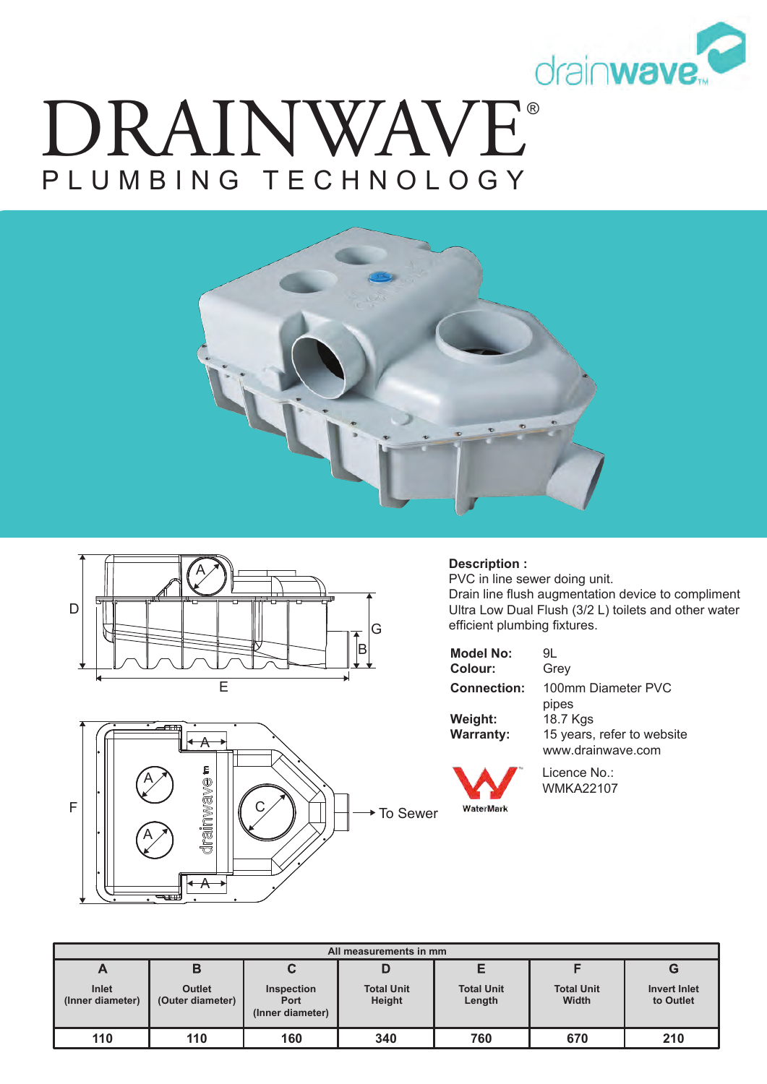

# ® DRAINWAVE PLUMBING TECHNOLOGY







#### **Description :**

WaterMark

PVC in line sewer doing unit. Drain line flush augmentation device to compliment Ultra Low Dual Flush (3/2 L) toilets and other water efficient plumbing fixtures.

| <b>Model No:</b>   | 91.                        |
|--------------------|----------------------------|
| Colour:            | Grey                       |
| <b>Connection:</b> | 100mm Diameter PVC         |
|                    | pipes                      |
| Weight:            | 18.7 Kgs                   |
| <b>Warranty:</b>   | 15 years, refer to website |
|                    | www.drainwave.com          |

Licence No.: WMKA22107

| All measurements in mm    |                                   |                                               |                             |                             |                            |                                  |  |
|---------------------------|-----------------------------------|-----------------------------------------------|-----------------------------|-----------------------------|----------------------------|----------------------------------|--|
| A                         | в                                 | C                                             | D                           |                             |                            | G                                |  |
| Inlet<br>(Inner diameter) | <b>Outlet</b><br>(Outer diameter) | <b>Inspection</b><br>Port<br>(Inner diameter) | <b>Total Unit</b><br>Height | <b>Total Unit</b><br>Length | <b>Total Unit</b><br>Width | <b>Invert Inlet</b><br>to Outlet |  |
| 110                       | 110                               | 160                                           | 340                         | 760                         | 670                        | 210                              |  |